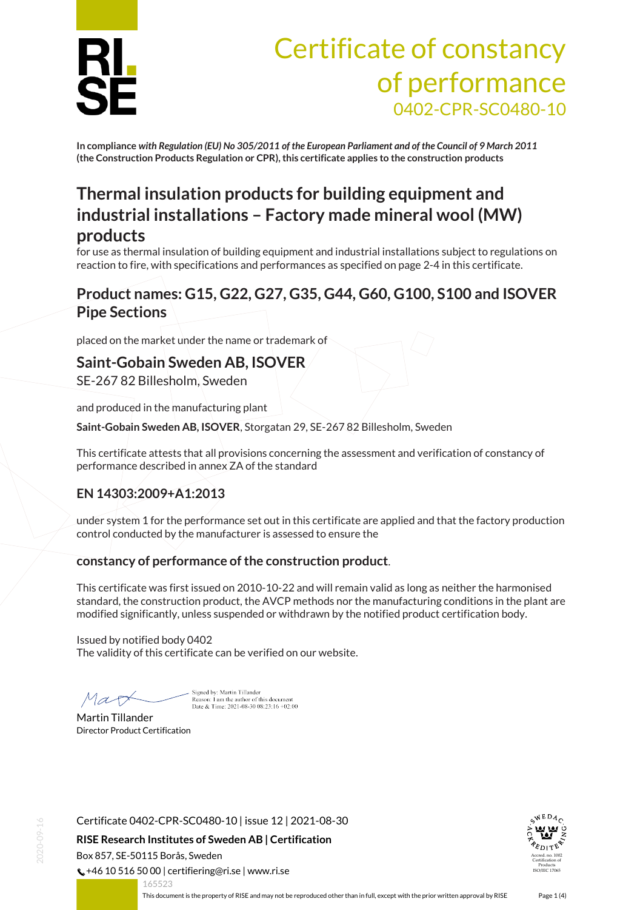

# Certificate of constancy of performance 0402-CPR-SC0480-10

**In compliance** *with Regulation (EU) No 305/2011 of the European Parliament and of the Council of 9 March 2011* **(the Construction Products Regulation or CPR), this certificate applies to the construction products**

## **Thermal insulation products for building equipment and industrial installations – Factory made mineral wool (MW) products**

for use as thermal insulation of building equipment and industrial installations subject to regulations on reaction to fire, with specifications and performances as specified on page 2-4 in this certificate.

### **Product names: G15, G22, G27, G35, G44, G60, G100, S100 and ISOVER Pipe Sections**

placed on the market under the name or trademark of

#### **Saint-Gobain Sweden AB, ISOVER**

SE-267 82 Billesholm, Sweden

and produced in the manufacturing plant

**Saint-Gobain Sweden AB, ISOVER**, Storgatan 29, SE-267 82 Billesholm, Sweden

This certificate attests that all provisions concerning the assessment and verification of constancy of performance described in annex ZA of the standard

#### **EN 14303:2009+A1:2013**

under system 1 for the performance set out in this certificate are applied and that the factory production control conducted by the manufacturer is assessed to ensure the

#### **constancy of performance of the construction product**.

This certificate was first issued on 2010-10-22 and will remain valid as long as neither the harmonised standard, the construction product, the AVCP methods nor the manufacturing conditions in the plant are modified significantly, unless suspended or withdrawn by the notified product certification body.

Issued by notified body 0402 The validity of this certificate can be verified on our website.

Mar

Signed by: Martin Tillander Reason: I am the author of this document<br>Date & Time:  $2021-08-3008:23:16+02:00$ 

Martin Tillander Director Product Certification

Certificate 0402-CPR-SC0480-10 | issue 12 | 2021-08-30

**RISE Research Institutes of Sweden AB | Certification**

Box 857, SE-50115 Borås, Sweden

 $\binom{1}{2}$  +46 10 516 50 00 | certifiering@ri.se | www.ri.se



<span id="page-0-0"></span>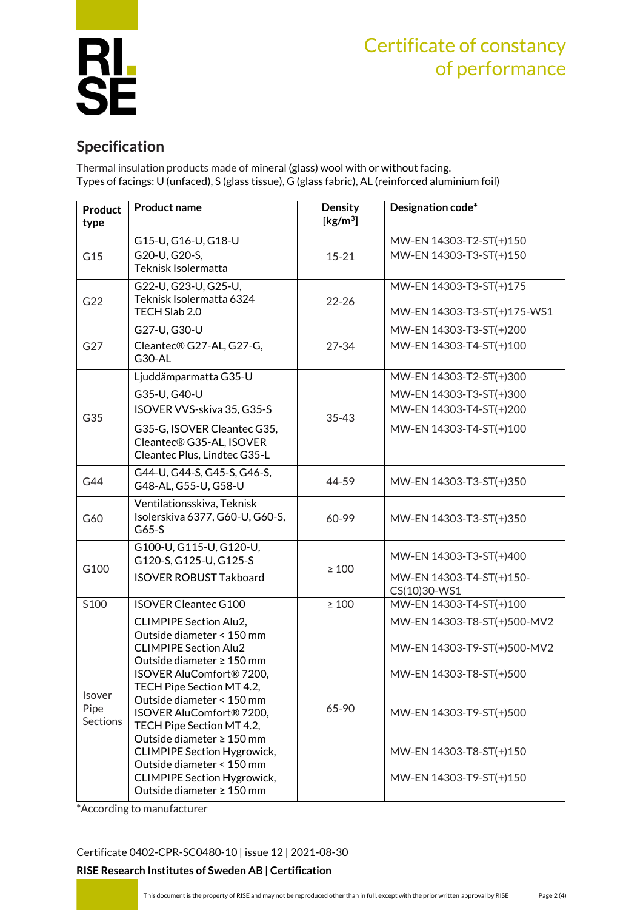

## Certificate of constancy of performance

## **Specification**

Thermal insulation products made of mineral (glass) wool with or without facing. Types of facings: U (unfaced), S (glass tissue), G (glass fabric), AL (reinforced aluminium foil)

| <b>Product</b><br>type                   | <b>Product name</b>                                                                                                                                                                                                                                                                                                                                                                                                                            | Density<br>[ $\text{kg/m}^3$ ] | Designation code*                                                                                                                                                      |
|------------------------------------------|------------------------------------------------------------------------------------------------------------------------------------------------------------------------------------------------------------------------------------------------------------------------------------------------------------------------------------------------------------------------------------------------------------------------------------------------|--------------------------------|------------------------------------------------------------------------------------------------------------------------------------------------------------------------|
| G15                                      | G15-U, G16-U, G18-U<br>G20-U, G20-S,<br>Teknisk Isolermatta                                                                                                                                                                                                                                                                                                                                                                                    | $15 - 21$                      | MW-EN 14303-T2-ST(+)150<br>MW-EN 14303-T3-ST(+)150                                                                                                                     |
| G22                                      | G22-U, G23-U, G25-U,<br>Teknisk Isolermatta 6324<br>TECH Slab 2.0                                                                                                                                                                                                                                                                                                                                                                              | $22 - 26$                      | MW-EN 14303-T3-ST(+)175<br>MW-EN 14303-T3-ST(+)175-WS1                                                                                                                 |
| G27                                      | G27-U, G30-U<br>Cleantec® G27-AL, G27-G,<br>G30-AL                                                                                                                                                                                                                                                                                                                                                                                             | $27 - 34$                      | MW-EN 14303-T3-ST(+)200<br>MW-EN 14303-T4-ST(+)100                                                                                                                     |
| G35                                      | Ljuddämparmatta G35-U<br>G35-U, G40-U<br>ISOVER VVS-skiva 35, G35-S<br>G35-G, ISOVER Cleantec G35,<br>Cleantec® G35-AL, ISOVER<br>Cleantec Plus, Lindtec G35-L                                                                                                                                                                                                                                                                                 | $35 - 43$                      | MW-EN 14303-T2-ST(+)300<br>MW-EN 14303-T3-ST(+)300<br>MW-EN 14303-T4-ST(+)200<br>MW-EN 14303-T4-ST(+)100                                                               |
| G44                                      | G44-U, G44-S, G45-S, G46-S,<br>G48-AL, G55-U, G58-U                                                                                                                                                                                                                                                                                                                                                                                            | 44-59                          | MW-EN 14303-T3-ST(+)350                                                                                                                                                |
| G60                                      | Ventilationsskiva, Teknisk<br>Isolerskiva 6377, G60-U, G60-S,<br>$G65-S$                                                                                                                                                                                                                                                                                                                                                                       | 60-99                          | MW-EN 14303-T3-ST(+)350                                                                                                                                                |
| G100                                     | G100-U, G115-U, G120-U,<br>G120-S, G125-U, G125-S<br><b>ISOVER ROBUST Takboard</b>                                                                                                                                                                                                                                                                                                                                                             | $\geq 100$                     | MW-EN 14303-T3-ST(+)400<br>MW-EN 14303-T4-ST(+)150-<br>CS(10)30-WS1                                                                                                    |
| S100                                     | <b>ISOVER Cleantec G100</b>                                                                                                                                                                                                                                                                                                                                                                                                                    | $\geq 100$                     | MW-EN 14303-T4-ST(+)100                                                                                                                                                |
| <b>Isover</b><br>Pipe<br><b>Sections</b> | <b>CLIMPIPE Section Alu2,</b><br>Outside diameter < 150 mm<br><b>CLIMPIPE Section Alu2</b><br>Outside diameter ≥ 150 mm<br>ISOVER AluComfort® 7200,<br>TECH Pipe Section MT 4.2,<br>Outside diameter < 150 mm<br>ISOVER AluComfort® 7200,<br>TECH Pipe Section MT 4.2,<br>Outside diameter $\geq 150$ mm<br><b>CLIMPIPE Section Hygrowick,</b><br>Outside diameter < 150 mm<br><b>CLIMPIPE Section Hygrowick,</b><br>Outside diameter ≥ 150 mm | 65-90                          | MW-EN 14303-T8-ST(+)500-MV2<br>MW-EN 14303-T9-ST(+)500-MV2<br>MW-EN 14303-T8-ST(+)500<br>MW-EN 14303-T9-ST(+)500<br>MW-EN 14303-T8-ST(+)150<br>MW-EN 14303-T9-ST(+)150 |

\*According to manufacturer

[Certificate 0402-CPR-SC0480-10](#page-0-0) | issue 12 | 2021-08-30

#### **RISE Research Institutes of Sweden AB | Certification**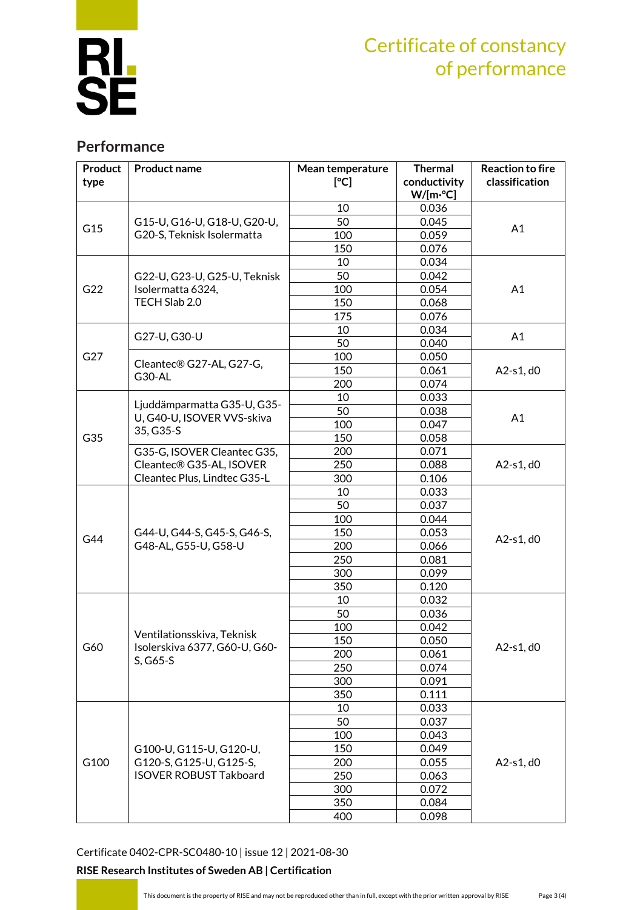

# Certificate of constancy of performance

### **Performance**

| <b>Product</b><br>type | <b>Product name</b>                                                                 | Mean temperature<br>[°C] | <b>Thermal</b><br>conductivity | <b>Reaction to fire</b><br>classification |
|------------------------|-------------------------------------------------------------------------------------|--------------------------|--------------------------------|-------------------------------------------|
|                        |                                                                                     |                          | $W/[m^{\circ}C]$               |                                           |
| G15                    | G15-U, G16-U, G18-U, G20-U,                                                         | 10<br>50                 | 0.036<br>0.045                 |                                           |
|                        |                                                                                     |                          |                                | A1                                        |
|                        | G20-S, Teknisk Isolermatta                                                          | 100<br>150               | 0.059<br>0.076                 |                                           |
|                        |                                                                                     | 10                       | 0.034                          |                                           |
|                        |                                                                                     | 50                       | 0.042                          |                                           |
|                        | G22-U, G23-U, G25-U, Teknisk<br>Isolermatta 6324,                                   | 100                      | 0.054                          |                                           |
| G22                    | TECH Slab 2.0                                                                       | 150                      | 0.068                          | A1                                        |
|                        |                                                                                     | 175                      | 0.076                          |                                           |
|                        |                                                                                     | 10                       | 0.034                          |                                           |
|                        | G27-U, G30-U                                                                        | 50                       | 0.040                          | A1                                        |
| G27                    |                                                                                     | 100                      | 0.050                          |                                           |
|                        | Cleantec® G27-AL, G27-G,<br>G30-AL                                                  | 150                      | 0.061                          | A2-s1, d0                                 |
|                        |                                                                                     | 200                      | 0.074                          |                                           |
|                        |                                                                                     | 10                       |                                |                                           |
|                        | Ljuddämparmatta G35-U, G35-                                                         | 50                       | 0.033<br>0.038                 |                                           |
|                        | U, G40-U, ISOVER VVS-skiva                                                          |                          | 0.047                          | A1                                        |
| G35                    | 35, G35-S                                                                           | 100                      |                                |                                           |
|                        |                                                                                     | 150                      | 0.058                          |                                           |
|                        | G35-G, ISOVER Cleantec G35,                                                         | 200<br>250               | 0.071                          | A2-s1, d0                                 |
|                        | Cleantec® G35-AL, ISOVER                                                            |                          | 0.088                          |                                           |
|                        | Cleantec Plus, Lindtec G35-L                                                        | 300                      | 0.106                          |                                           |
|                        |                                                                                     | 10                       | 0.033                          | A2-s1, d0                                 |
|                        | G44-U, G44-S, G45-S, G46-S,<br>G48-AL, G55-U, G58-U                                 | 50                       | 0.037                          |                                           |
|                        |                                                                                     | 100                      | 0.044                          |                                           |
| G44                    |                                                                                     | 150                      | 0.053                          |                                           |
|                        |                                                                                     | 200                      | 0.066                          |                                           |
|                        |                                                                                     | 250<br>300               | 0.081<br>0.099                 |                                           |
|                        |                                                                                     |                          |                                |                                           |
|                        |                                                                                     | 350                      | 0.120                          |                                           |
|                        | Ventilationsskiva, Teknisk<br>Isolerskiva 6377, G60-U, G60-<br>$S, G65-S$           | 10<br>50                 | 0.032<br>0.036                 | A2-s1, d0                                 |
| G60                    |                                                                                     | 100                      | 0.042                          |                                           |
|                        |                                                                                     | 150                      | 0.050                          |                                           |
|                        |                                                                                     |                          | 0.061                          |                                           |
|                        |                                                                                     | 200<br>250               | 0.074                          |                                           |
|                        |                                                                                     | 300                      | 0.091                          |                                           |
|                        |                                                                                     | 350                      | 0.111                          |                                           |
|                        |                                                                                     |                          | 0.033                          |                                           |
|                        | G100-U, G115-U, G120-U,<br>G120-S, G125-U, G125-S,<br><b>ISOVER ROBUST Takboard</b> | 10<br>50                 | 0.037                          | A2-s1, d0                                 |
| G100                   |                                                                                     | 100                      | 0.043                          |                                           |
|                        |                                                                                     |                          |                                |                                           |
|                        |                                                                                     | 150<br>200               | 0.049<br>0.055                 |                                           |
|                        |                                                                                     |                          |                                |                                           |
|                        |                                                                                     | 250                      | 0.063                          |                                           |
|                        |                                                                                     | 300                      | 0.072                          |                                           |
|                        |                                                                                     | 350                      | 0.084                          |                                           |
|                        |                                                                                     | 400                      | 0.098                          |                                           |

[Certificate 0402-CPR-SC0480-10](#page-0-0) | issue 12 | 2021-08-30

#### **RISE Research Institutes of Sweden AB | Certification**